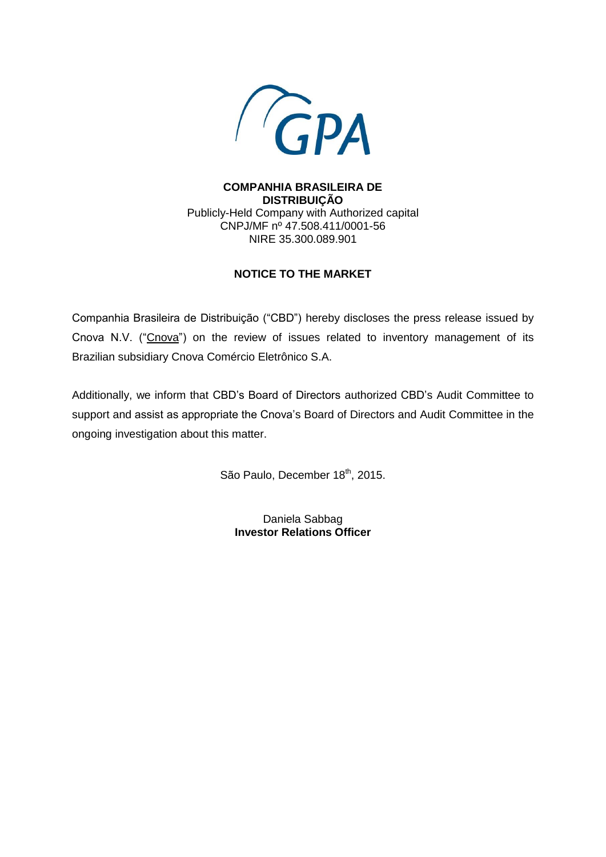

**COMPANHIA BRASILEIRA DE DISTRIBUIÇÃO** Publicly-Held Company with Authorized capital CNPJ/MF nº 47.508.411/0001-56 NIRE 35.300.089.901

# **NOTICE TO THE MARKET**

Companhia Brasileira de Distribuição ("CBD") hereby discloses the press release issued by Cnova N.V. ("Cnova") on the review of issues related to inventory management of its Brazilian subsidiary Cnova Comércio Eletrônico S.A.

Additionally, we inform that CBD's Board of Directors authorized CBD's Audit Committee to support and assist as appropriate the Cnova's Board of Directors and Audit Committee in the ongoing investigation about this matter.

São Paulo, December 18<sup>th</sup>, 2015.

Daniela Sabbag **Investor Relations Officer**